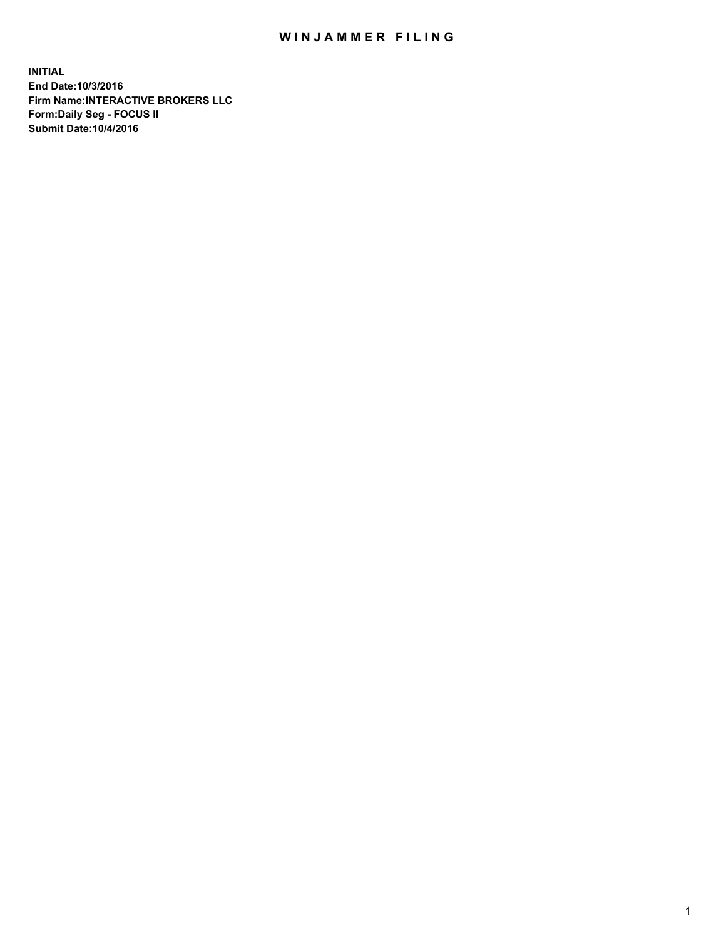## WIN JAMMER FILING

**INITIAL End Date:10/3/2016 Firm Name:INTERACTIVE BROKERS LLC Form:Daily Seg - FOCUS II Submit Date:10/4/2016**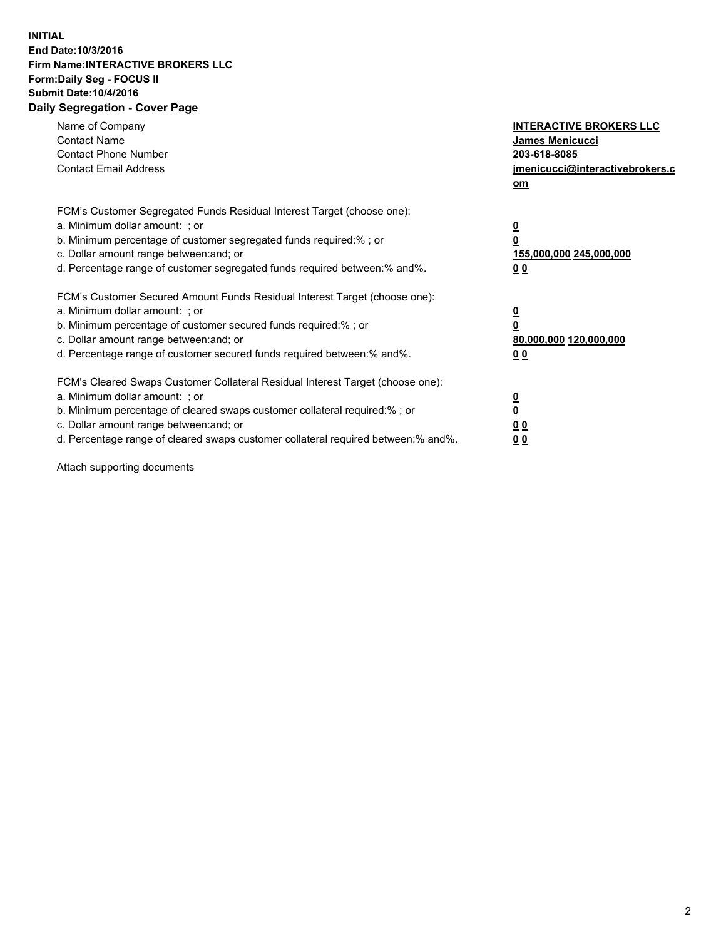## **INITIAL End Date:10/3/2016 Firm Name:INTERACTIVE BROKERS LLC Form:Daily Seg - FOCUS II Submit Date:10/4/2016 Daily Segregation - Cover Page**

| Name of Company<br><b>Contact Name</b><br><b>Contact Phone Number</b><br><b>Contact Email Address</b>                                                                                                                                                                                                                          | <b>INTERACTIVE BROKERS LLC</b><br>James Menicucci<br>203-618-8085<br>jmenicucci@interactivebrokers.c<br>om |
|--------------------------------------------------------------------------------------------------------------------------------------------------------------------------------------------------------------------------------------------------------------------------------------------------------------------------------|------------------------------------------------------------------------------------------------------------|
| FCM's Customer Segregated Funds Residual Interest Target (choose one):<br>a. Minimum dollar amount: ; or<br>b. Minimum percentage of customer segregated funds required:%; or<br>c. Dollar amount range between: and; or<br>d. Percentage range of customer segregated funds required between:% and%.                          | $\overline{\mathbf{0}}$<br>0<br>155,000,000 245,000,000<br>0 <sub>0</sub>                                  |
| FCM's Customer Secured Amount Funds Residual Interest Target (choose one):<br>a. Minimum dollar amount: ; or<br>b. Minimum percentage of customer secured funds required:%; or<br>c. Dollar amount range between: and; or<br>d. Percentage range of customer secured funds required between:% and%.                            | $\overline{\mathbf{0}}$<br>$\overline{\mathbf{0}}$<br>80,000,000 120,000,000<br>00                         |
| FCM's Cleared Swaps Customer Collateral Residual Interest Target (choose one):<br>a. Minimum dollar amount: ; or<br>b. Minimum percentage of cleared swaps customer collateral required:% ; or<br>c. Dollar amount range between: and; or<br>d. Percentage range of cleared swaps customer collateral required between:% and%. | $\overline{\mathbf{0}}$<br>$\overline{\mathbf{0}}$<br>0 <sub>0</sub><br><u>00</u>                          |

Attach supporting documents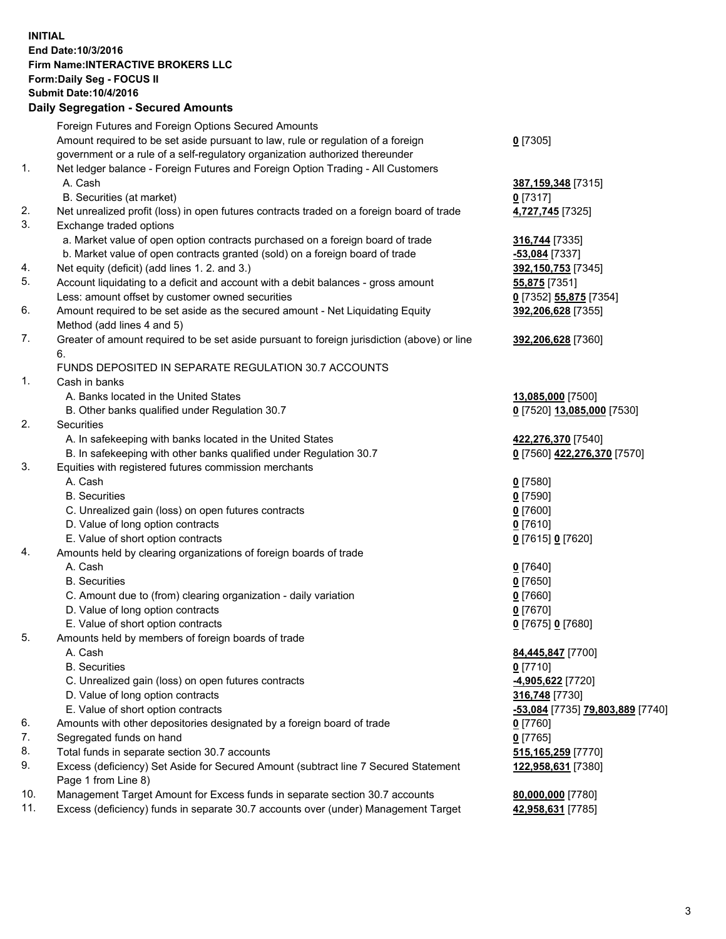## **INITIAL End Date:10/3/2016 Firm Name:INTERACTIVE BROKERS LLC Form:Daily Seg - FOCUS II Submit Date:10/4/2016 Daily Segregation - Secured Amounts**

|                | Daily Ocglegation - Occuled Amounts                                                                        |                                  |
|----------------|------------------------------------------------------------------------------------------------------------|----------------------------------|
|                | Foreign Futures and Foreign Options Secured Amounts                                                        |                                  |
|                | Amount required to be set aside pursuant to law, rule or regulation of a foreign                           | $0$ [7305]                       |
|                | government or a rule of a self-regulatory organization authorized thereunder                               |                                  |
| 1.             | Net ledger balance - Foreign Futures and Foreign Option Trading - All Customers                            |                                  |
|                | A. Cash                                                                                                    | 387, 159, 348 [7315]             |
|                | B. Securities (at market)                                                                                  | $0$ [7317]                       |
| 2.             | Net unrealized profit (loss) in open futures contracts traded on a foreign board of trade                  | 4,727,745 [7325]                 |
| 3.             | Exchange traded options                                                                                    |                                  |
|                | a. Market value of open option contracts purchased on a foreign board of trade                             | 316,744 [7335]                   |
|                | b. Market value of open contracts granted (sold) on a foreign board of trade                               | -53,084 [7337]                   |
| 4.             | Net equity (deficit) (add lines 1.2. and 3.)                                                               | 392,150,753 [7345]               |
| 5.             | Account liquidating to a deficit and account with a debit balances - gross amount                          | 55,875 [7351]                    |
|                | Less: amount offset by customer owned securities                                                           | 0 [7352] 55,875 [7354]           |
| 6.             | Amount required to be set aside as the secured amount - Net Liquidating Equity                             | 392,206,628 [7355]               |
|                | Method (add lines 4 and 5)                                                                                 |                                  |
| 7.             | Greater of amount required to be set aside pursuant to foreign jurisdiction (above) or line                | 392,206,628 [7360]               |
|                | 6.                                                                                                         |                                  |
|                | FUNDS DEPOSITED IN SEPARATE REGULATION 30.7 ACCOUNTS                                                       |                                  |
| $\mathbf{1}$ . | Cash in banks                                                                                              |                                  |
|                | A. Banks located in the United States                                                                      | 13,085,000 [7500]                |
|                | B. Other banks qualified under Regulation 30.7                                                             | 0 [7520] 13,085,000 [7530]       |
| 2.             | Securities                                                                                                 |                                  |
|                | A. In safekeeping with banks located in the United States                                                  | 422,276,370 [7540]               |
|                | B. In safekeeping with other banks qualified under Regulation 30.7                                         | 0 [7560] 422,276,370 [7570]      |
| 3.             | Equities with registered futures commission merchants                                                      |                                  |
|                | A. Cash                                                                                                    | $0$ [7580]                       |
|                | <b>B.</b> Securities                                                                                       | $0$ [7590]                       |
|                | C. Unrealized gain (loss) on open futures contracts                                                        | $0$ [7600]                       |
|                | D. Value of long option contracts                                                                          | $0$ [7610]                       |
|                | E. Value of short option contracts                                                                         | 0 [7615] 0 [7620]                |
| 4.             | Amounts held by clearing organizations of foreign boards of trade                                          |                                  |
|                | A. Cash                                                                                                    | $0$ [7640]                       |
|                | <b>B.</b> Securities                                                                                       | $0$ [7650]                       |
|                | C. Amount due to (from) clearing organization - daily variation                                            | $0$ [7660]                       |
|                | D. Value of long option contracts                                                                          | $0$ [7670]                       |
|                | E. Value of short option contracts                                                                         | 0 [7675] 0 [7680]                |
| 5.             | Amounts held by members of foreign boards of trade                                                         |                                  |
|                | A. Cash                                                                                                    | 84,445,847 [7700]                |
|                | <b>B.</b> Securities                                                                                       | $0$ [7710]                       |
|                | C. Unrealized gain (loss) on open futures contracts                                                        | -4,905,622 <sup>[7720]</sup>     |
|                | D. Value of long option contracts                                                                          | 316,748 [7730]                   |
|                | E. Value of short option contracts                                                                         | -53,084 [7735] 79,803,889 [7740] |
| 6.             | Amounts with other depositories designated by a foreign board of trade                                     | 0 [7760]                         |
| 7.             | Segregated funds on hand                                                                                   | $0$ [7765]                       |
| 8.             | Total funds in separate section 30.7 accounts                                                              | 515,165,259 [7770]               |
| 9.             | Excess (deficiency) Set Aside for Secured Amount (subtract line 7 Secured Statement<br>Page 1 from Line 8) | 122,958,631 [7380]               |
| 10.            | Management Target Amount for Excess funds in separate section 30.7 accounts                                | 80,000,000 [7780]                |
| 11.            | Excess (deficiency) funds in separate 30.7 accounts over (under) Management Target                         | 42,958,631 [7785]                |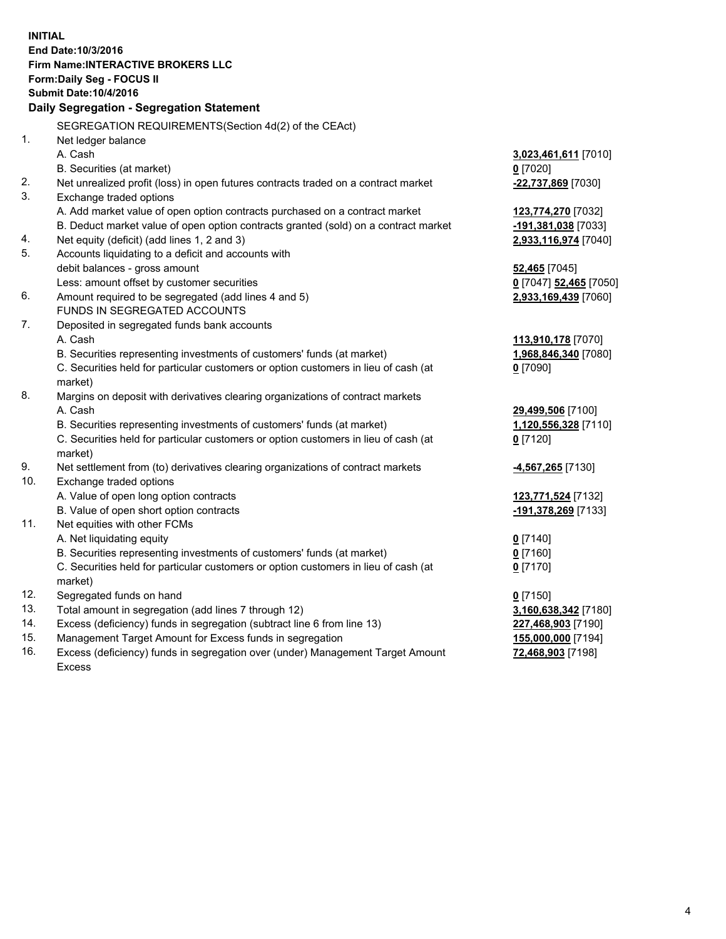**INITIAL End Date:10/3/2016 Firm Name:INTERACTIVE BROKERS LLC Form:Daily Seg - FOCUS II Submit Date:10/4/2016 Daily Segregation - Segregation Statement** SEGREGATION REQUIREMENTS(Section 4d(2) of the CEAct) 1. Net ledger balance A. Cash **3,023,461,611** [7010] B. Securities (at market) **0** [7020] 2. Net unrealized profit (loss) in open futures contracts traded on a contract market **-22,737,869** [7030] 3. Exchange traded options A. Add market value of open option contracts purchased on a contract market **123,774,270** [7032] B. Deduct market value of open option contracts granted (sold) on a contract market **-191,381,038** [7033] 4. Net equity (deficit) (add lines 1, 2 and 3) **2,933,116,974** [7040] 5. Accounts liquidating to a deficit and accounts with debit balances - gross amount **52,465** [7045] Less: amount offset by customer securities **0** [7047] **52,465** [7050] 6. Amount required to be segregated (add lines 4 and 5) **2,933,169,439** [7060] FUNDS IN SEGREGATED ACCOUNTS 7. Deposited in segregated funds bank accounts A. Cash **113,910,178** [7070] B. Securities representing investments of customers' funds (at market) **1,968,846,340** [7080] C. Securities held for particular customers or option customers in lieu of cash (at market) **0** [7090] 8. Margins on deposit with derivatives clearing organizations of contract markets A. Cash **29,499,506** [7100] B. Securities representing investments of customers' funds (at market) **1,120,556,328** [7110] C. Securities held for particular customers or option customers in lieu of cash (at market) **0** [7120] 9. Net settlement from (to) derivatives clearing organizations of contract markets **-4,567,265** [7130] 10. Exchange traded options A. Value of open long option contracts **123,771,524** [7132] B. Value of open short option contracts **-191,378,269** [7133] 11. Net equities with other FCMs A. Net liquidating equity **0** [7140] B. Securities representing investments of customers' funds (at market) **0** [7160] C. Securities held for particular customers or option customers in lieu of cash (at market) **0** [7170] 12. Segregated funds on hand **0** [7150] 13. Total amount in segregation (add lines 7 through 12) **3,160,638,342** [7180] 14. Excess (deficiency) funds in segregation (subtract line 6 from line 13) **227,468,903** [7190] 15. Management Target Amount for Excess funds in segregation **155,000,000** [7194] **72,468,903** [7198]

16. Excess (deficiency) funds in segregation over (under) Management Target Amount Excess